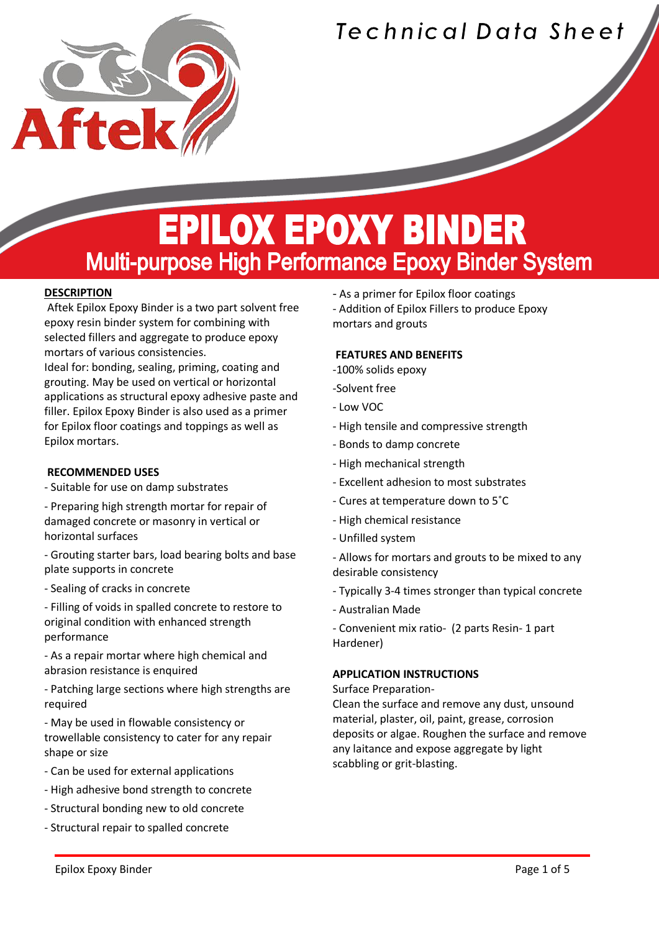

### Technical Data Sheet

### **EPILOX EPOXY BINDER Multi-purpose High Performance Epoxy Binder System**

#### **DESCRIPTION**

Í

Aftek Epilox Epoxy Binder is a two part solvent free epoxy resin binder system for combining with selected fillers and aggregate to produce epoxy mortars of various consistencies.

Ideal for: bonding, sealing, priming, coating and grouting. May be used on vertical or horizontal applications as structural epoxy adhesive paste and filler. Epilox Epoxy Binder is also used as a primer for Epilox floor coatings and toppings as well as Epilox mortars.

#### **RECOMMENDED USES**

- Suitable for use on damp substrates
- Preparing high strength mortar for repair of damaged concrete or masonry in vertical or horizontal surfaces
- Grouting starter bars, load bearing bolts and base plate supports in concrete
- Sealing of cracks in concrete
- Filling of voids in spalled concrete to restore to original condition with enhanced strength performance
- As a repair mortar where high chemical and abrasion resistance is enquired
- Patching large sections where high strengths are required
- May be used in flowable consistency or trowellable consistency to cater for any repair shape or size
- Can be used for external applications
- High adhesive bond strength to concrete
- Structural bonding new to old concrete
- Structural repair to spalled concrete
- As a primer for Epilox floor coatings
- Addition of Epilox Fillers to produce Epoxy mortars and grouts

#### **FEATURES AND BENEFITS**

- -100% solids epoxy
- -Solvent free
- Low VOC
- High tensile and compressive strength
- Bonds to damp concrete
- High mechanical strength
- Excellent adhesion to most substrates
- Cures at temperature down to 5˚C
- High chemical resistance
- Unfilled system
- Allows for mortars and grouts to be mixed to any desirable consistency
- Typically 3-4 times stronger than typical concrete
- Australian Made
- Convenient mix ratio- (2 parts Resin- 1 part Hardener)

#### **APPLICATION INSTRUCTIONS**

#### Surface Preparation-

Clean the surface and remove any dust, unsound material, plaster, oil, paint, grease, corrosion deposits or algae. Roughen the surface and remove any laitance and expose aggregate by light scabbling or grit-blasting.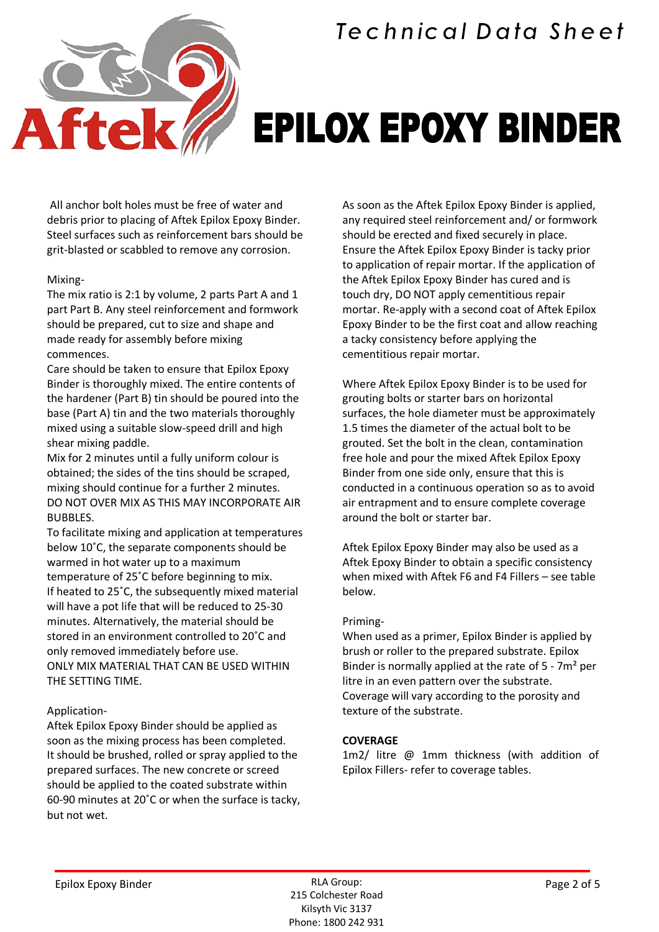



### **EPILOX EPOXY BINDER**

All anchor bolt holes must be free of water and debris prior to placing of Aftek Epilox Epoxy Binder. Steel surfaces such as reinforcement bars should be grit-blasted or scabbled to remove any corrosion.

#### Mixing-

The mix ratio is 2:1 by volume, 2 parts Part A and 1 part Part B. Any steel reinforcement and formwork should be prepared, cut to size and shape and made ready for assembly before mixing commences.

Care should be taken to ensure that Epilox Epoxy Binder is thoroughly mixed. The entire contents of the hardener (Part B) tin should be poured into the base (Part A) tin and the two materials thoroughly mixed using a suitable slow-speed drill and high shear mixing paddle.

Mix for 2 minutes until a fully uniform colour is obtained; the sides of the tins should be scraped, mixing should continue for a further 2 minutes. DO NOT OVER MIX AS THIS MAY INCORPORATE AIR BUBBLES.

To facilitate mixing and application at temperatures below 10˚C, the separate components should be warmed in hot water up to a maximum temperature of 25˚C before beginning to mix. If heated to 25˚C, the subsequently mixed material will have a pot life that will be reduced to 25-30 minutes. Alternatively, the material should be stored in an environment controlled to 20˚C and only removed immediately before use. ONLY MIX MATERIAL THAT CAN BE USED WITHIN THE SETTING TIME.

#### Application-

Aftek Epilox Epoxy Binder should be applied as soon as the mixing process has been completed. It should be brushed, rolled or spray applied to the prepared surfaces. The new concrete or screed should be applied to the coated substrate within 60-90 minutes at 20˚C or when the surface is tacky, but not wet.

As soon as the Aftek Epilox Epoxy Binder is applied, any required steel reinforcement and/ or formwork should be erected and fixed securely in place. Ensure the Aftek Epilox Epoxy Binder is tacky prior to application of repair mortar. If the application of the Aftek Epilox Epoxy Binder has cured and is touch dry, DO NOT apply cementitious repair mortar. Re-apply with a second coat of Aftek Epilox Epoxy Binder to be the first coat and allow reaching a tacky consistency before applying the cementitious repair mortar.

Where Aftek Epilox Epoxy Binder is to be used for grouting bolts or starter bars on horizontal surfaces, the hole diameter must be approximately 1.5 times the diameter of the actual bolt to be grouted. Set the bolt in the clean, contamination free hole and pour the mixed Aftek Epilox Epoxy Binder from one side only, ensure that this is conducted in a continuous operation so as to avoid air entrapment and to ensure complete coverage around the bolt or starter bar.

Aftek Epilox Epoxy Binder may also be used as a Aftek Epoxy Binder to obtain a specific consistency when mixed with Aftek F6 and F4 Fillers – see table below.

#### Priming-

When used as a primer, Epilox Binder is applied by brush or roller to the prepared substrate. Epilox Binder is normally applied at the rate of 5 - 7m² per litre in an even pattern over the substrate. Coverage will vary according to the porosity and texture of the substrate.

#### **COVERAGE**

1m2/ litre @ 1mm thickness (with addition of Epilox Fillers- refer to coverage tables.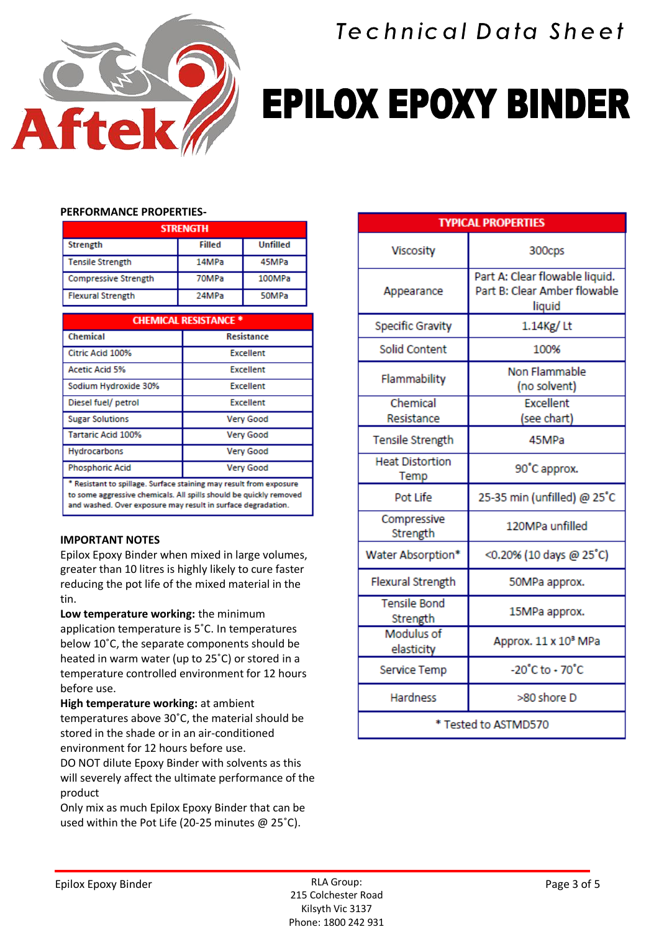

Technical Data Sheet

# **EPILOX EPOXY BINDER**

#### **PERFORMANCE PROPERTIES-**

| <b>STRENGTH</b>             |        |                 |  |  |
|-----------------------------|--------|-----------------|--|--|
| Strength                    | Filled | <b>Unfilled</b> |  |  |
| <b>Tensile Strength</b>     | 14MPa  | 45MPa           |  |  |
| <b>Compressive Strength</b> | 70MPa  | 100MPa          |  |  |
| <b>Flexural Strength</b>    | 24MPa  | 50MPa           |  |  |

| <b>CHEMICAL RESISTANCE *</b>                                                                                                             |                   |  |  |  |
|------------------------------------------------------------------------------------------------------------------------------------------|-------------------|--|--|--|
| Chemical                                                                                                                                 | <b>Resistance</b> |  |  |  |
| Citric Acid 100%                                                                                                                         | <b>Excellent</b>  |  |  |  |
| <b>Acetic Acid 5%</b>                                                                                                                    | <b>Excellent</b>  |  |  |  |
| Sodium Hydroxide 30%                                                                                                                     | <b>Excellent</b>  |  |  |  |
| Diesel fuel/ petrol                                                                                                                      | <b>Excellent</b>  |  |  |  |
| <b>Sugar Solutions</b>                                                                                                                   | <b>Very Good</b>  |  |  |  |
| <b>Tartaric Acid 100%</b>                                                                                                                | <b>Very Good</b>  |  |  |  |
| <b>Hydrocarbons</b>                                                                                                                      | <b>Very Good</b>  |  |  |  |
| <b>Phosphoric Acid</b>                                                                                                                   | <b>Very Good</b>  |  |  |  |
| * Resistant to spillage. Surface staining may result from exposure<br>to some aggressive chemicals. All spills should be quickly removed |                   |  |  |  |

and washed. Over exposure may result in surface degradation.

#### **IMPORTANT NOTES**

Epilox Epoxy Binder when mixed in large volumes, greater than 10 litres is highly likely to cure faster reducing the pot life of the mixed material in the tin.

**Low temperature working:** the minimum application temperature is 5˚C. In temperatures below 10˚C, the separate components should be heated in warm water (up to 25˚C) or stored in a temperature controlled environment for 12 hours before use.

**High temperature working:** at ambient temperatures above 30˚C, the material should be stored in the shade or in an air-conditioned environment for 12 hours before use.

DO NOT dilute Epoxy Binder with solvents as this will severely affect the ultimate performance of the product

Only mix as much Epilox Epoxy Binder that can be used within the Pot Life (20-25 minutes @ 25˚C).

| <b>TYPICAL PROPERTIES</b>       |                                                                          |  |  |  |
|---------------------------------|--------------------------------------------------------------------------|--|--|--|
| Viscosity                       | 300cps                                                                   |  |  |  |
| Appearance                      | Part A: Clear flowable liquid.<br>Part B: Clear Amber flowable<br>liquid |  |  |  |
| <b>Specific Gravity</b>         | 1.14Kg/Lt                                                                |  |  |  |
| Solid Content                   | 100%                                                                     |  |  |  |
| Flammability                    | Non Flammable<br>(no solvent)                                            |  |  |  |
| Chemical<br>Resistance          | <b>Excellent</b><br>(see chart)                                          |  |  |  |
| Tensile Strength                | 45MPa                                                                    |  |  |  |
| <b>Heat Distortion</b><br>Temp  | 90°C approx.                                                             |  |  |  |
| Pot Life                        | 25-35 min (unfilled) @ 25°C                                              |  |  |  |
| Compressive<br>Strength         | 120MPa unfilled                                                          |  |  |  |
| Water Absorption*               | <0.20% (10 days @ 25°C)                                                  |  |  |  |
| Flexural Strength               | 50MPa approx.                                                            |  |  |  |
| <b>Tensile Bond</b><br>Strength | 15MPa approx.                                                            |  |  |  |
| <b>Modulus of</b><br>elasticity | Approx. 11 x 10 <sup>8</sup> MPa                                         |  |  |  |
| Service Temp                    | $-20^{\circ}$ C to $\cdot$ 70 $^{\circ}$ C                               |  |  |  |
| <b>Hardness</b>                 | >80 shore D                                                              |  |  |  |
| * Tested to ASTMD570            |                                                                          |  |  |  |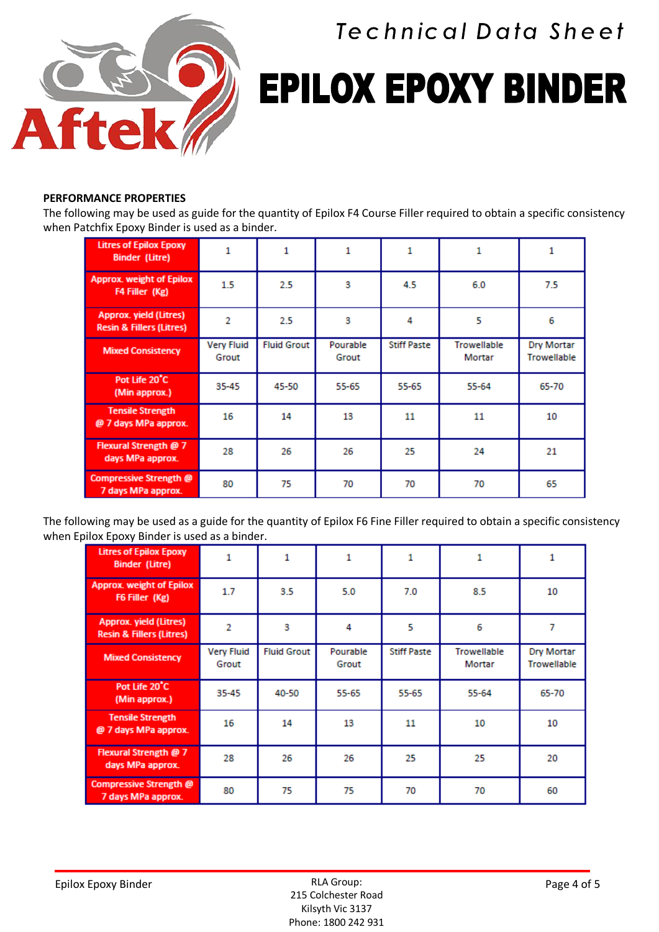

**Technical Data Sheet** 

## **EPILOX EPOXY BINDER**

#### **PERFORMANCE PROPERTIES**

The following may be used as guide for the quantity of Epilox F4 Course Filler required to obtain a specific consistency when Patchfix Epoxy Binder is used as a binder.

| <b>Litres of Epilox Epoxy</b><br><b>Binder (Litre)</b>               |                            | 1                  | 1                 |                    |                       | 1                                |
|----------------------------------------------------------------------|----------------------------|--------------------|-------------------|--------------------|-----------------------|----------------------------------|
| <b>Approx. weight of Epilox</b><br>F4 Filler (Kg)                    | $1.5\,$                    | 2.5                | 3                 | 4.5                | 6.0                   | 7.5                              |
| <b>Approx. yield (Litres)</b><br><b>Resin &amp; Fillers (Litres)</b> | 2                          | 2.5                | 3                 | 4                  | 5                     | 6                                |
| <b>Mixed Consistency</b>                                             | <b>Very Fluid</b><br>Grout | <b>Fluid Grout</b> | Pourable<br>Grout | <b>Stiff Paste</b> | Trowellable<br>Mortar | Dry Mortar<br><b>Trowellable</b> |
| Pot Life 20°C<br>(Min approx.)                                       | 35-45                      | 45-50              | 55-65             | 55-65              | $55 - 64$             | 65-70                            |
| <b>Tensile Strength</b><br>@ 7 days MPa approx.                      | 16                         | 14                 | 13                | 11                 | 11                    | 10                               |
| Flexural Strength @ 7<br>days MPa approx.                            | 28                         | 26                 | 26                | 25                 | 24                    | 21                               |
| Compressive Strength @<br>7 days MPa approx.                         | 80                         | 75                 | 70                | 70                 | 70                    | 65                               |

The following may be used as a guide for the quantity of Epilox F6 Fine Filler required to obtain a specific consistency when Epilox Epoxy Binder is used as a binder.

| <b>Litres of Epilox Epoxy</b><br><b>Binder (Litre)</b>               |                            | 1                  |                   | 1                  |                       |                                  |
|----------------------------------------------------------------------|----------------------------|--------------------|-------------------|--------------------|-----------------------|----------------------------------|
| <b>Approx. weight of Epilox</b><br>F6 Filler (Kg)                    | 1.7                        | 3.5                | 5.0               | 7.0                | 8.5                   | 10                               |
| <b>Approx. yield (Litres)</b><br><b>Resin &amp; Fillers (Litres)</b> | $\overline{2}$             | 3                  | 4                 | 5                  | 6                     | 7                                |
| <b>Mixed Consistency</b>                                             | <b>Very Fluid</b><br>Grout | <b>Fluid Grout</b> | Pourable<br>Grout | <b>Stiff Paste</b> | Trowellable<br>Mortar | Dry Mortar<br><b>Trowellable</b> |
| Pot Life 20°C<br>(Min approx.)                                       | 35-45                      | 40-50              | 55-65             | 55-65              | $55 - 64$             | 65-70                            |
| <b>Tensile Strength</b><br>@ 7 days MPa approx.                      | 16                         | 14                 | 13                | 11                 | 10                    | 10                               |
| Flexural Strength @ 7<br>days MPa approx.                            | 28                         | 26                 | 26                | 25                 | 25                    | 20                               |
| <b>Compressive Strength @</b><br>7 days MPa approx.                  | 80                         | 75                 | 75                | 70                 | 70                    | 60                               |